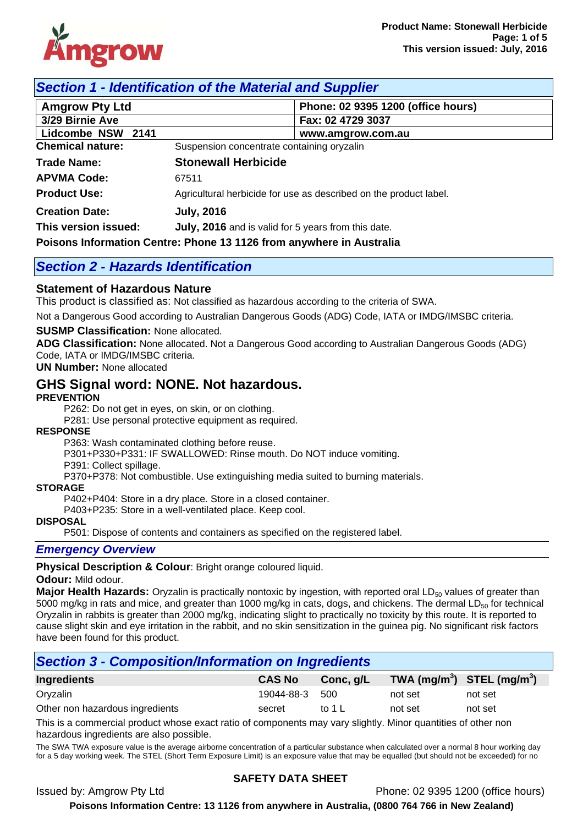

## *Section 1 - Identification of the Material and Supplier*

| <b>Amgrow Pty Ltd</b>                                                |                                            | Phone: 02 9395 1200 (office hours)                                |
|----------------------------------------------------------------------|--------------------------------------------|-------------------------------------------------------------------|
| 3/29 Birnie Ave                                                      |                                            | Fax: 02 4729 3037                                                 |
| Lidcombe NSW 2141                                                    |                                            | www.amgrow.com.au                                                 |
| <b>Chemical nature:</b>                                              | Suspension concentrate containing oryzalin |                                                                   |
| <b>Trade Name:</b>                                                   | <b>Stonewall Herbicide</b>                 |                                                                   |
| <b>APVMA Code:</b>                                                   | 67511                                      |                                                                   |
| <b>Product Use:</b>                                                  |                                            | Agricultural herbicide for use as described on the product label. |
| <b>Creation Date:</b>                                                | <b>July, 2016</b>                          |                                                                   |
| This version issued:                                                 |                                            | July, 2016 and is valid for 5 years from this date.               |
| Poisons Information Centre: Phone 13 1126 from anywhere in Australia |                                            |                                                                   |

## *Section 2 - Hazards Identification*

#### **Statement of Hazardous Nature**

This product is classified as: Not classified as hazardous according to the criteria of SWA.

Not a Dangerous Good according to Australian Dangerous Goods (ADG) Code, IATA or IMDG/IMSBC criteria.

#### **SUSMP Classification:** None allocated.

**ADG Classification:** None allocated. Not a Dangerous Good according to Australian Dangerous Goods (ADG) Code, IATA or IMDG/IMSBC criteria.

**UN Number:** None allocated

## **GHS Signal word: NONE. Not hazardous.**

#### **PREVENTION**

P262: Do not get in eyes, on skin, or on clothing.

P281: Use personal protective equipment as required.

#### **RESPONSE**

P363: Wash contaminated clothing before reuse.

P301+P330+P331: IF SWALLOWED: Rinse mouth. Do NOT induce vomiting.

P391: Collect spillage.

P370+P378: Not combustible. Use extinguishing media suited to burning materials.

#### **STORAGE**

P402+P404: Store in a dry place. Store in a closed container.

P403+P235: Store in a well-ventilated place. Keep cool.

#### **DISPOSAL**

P501: Dispose of contents and containers as specified on the registered label.

#### *Emergency Overview*

**Physical Description & Colour**: Bright orange coloured liquid.

#### **Odour:** Mild odour.

**Major Health Hazards:** Oryzalin is practically nontoxic by ingestion, with reported oral LD<sub>50</sub> values of greater than 5000 mg/kg in rats and mice, and greater than 1000 mg/kg in cats, dogs, and chickens. The dermal  $LD_{50}$  for technical Oryzalin in rabbits is greater than 2000 mg/kg, indicating slight to practically no toxicity by this route. It is reported to cause slight skin and eye irritation in the rabbit, and no skin sensitization in the guinea pig. No significant risk factors have been found for this product.

## *Section 3 - Composition/Information on Ingredients*

| Ingredients                     | <b>CAS No</b> | Conc, g/L | TWA $(mg/m^3)$ STEL $(mg/m^3)$ |         |
|---------------------------------|---------------|-----------|--------------------------------|---------|
| Oryzalin                        | 19044-88-3    | -500      | not set                        | not set |
| Other non hazardous ingredients | secret        | to 1 L    | not set                        | not set |

This is a commercial product whose exact ratio of components may vary slightly. Minor quantities of other non hazardous ingredients are also possible.

The SWA TWA exposure value is the average airborne concentration of a particular substance when calculated over a normal 8 hour working day for a 5 day working week. The STEL (Short Term Exposure Limit) is an exposure value that may be equalled (but should not be exceeded) for no

#### **SAFETY DATA SHEET**

Issued by: Amgrow Pty Ltd Phone: 02 9395 1200 (office hours)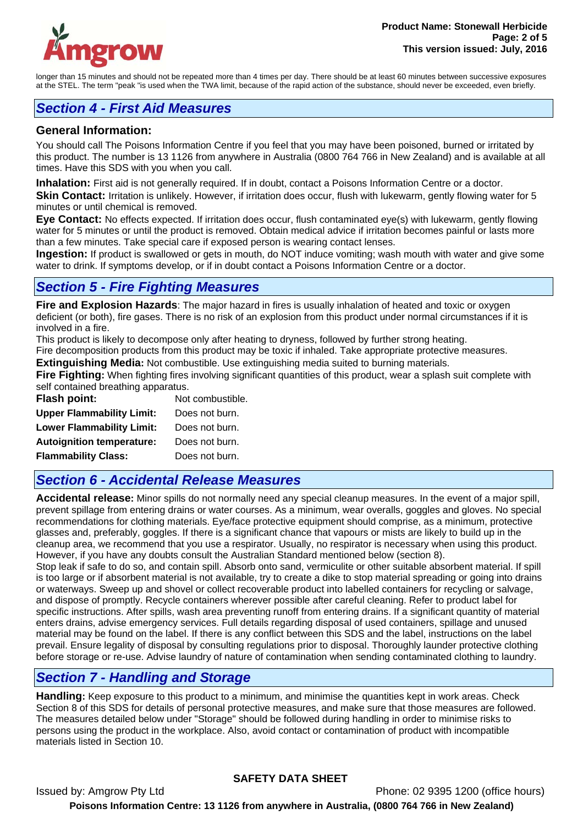

longer than 15 minutes and should not be repeated more than 4 times per day. There should be at least 60 minutes between successive exposures at the STEL. The term "peak "is used when the TWA limit, because of the rapid action of the substance, should never be exceeded, even briefly.

## *Section 4 - First Aid Measures*

#### **General Information:**

You should call The Poisons Information Centre if you feel that you may have been poisoned, burned or irritated by this product. The number is 13 1126 from anywhere in Australia (0800 764 766 in New Zealand) and is available at all times. Have this SDS with you when you call.

**Inhalation:** First aid is not generally required. If in doubt, contact a Poisons Information Centre or a doctor.

Skin Contact: Irritation is unlikely. However, if irritation does occur, flush with lukewarm, gently flowing water for 5 minutes or until chemical is removed.

**Eye Contact:** No effects expected. If irritation does occur, flush contaminated eye(s) with lukewarm, gently flowing water for 5 minutes or until the product is removed. Obtain medical advice if irritation becomes painful or lasts more than a few minutes. Take special care if exposed person is wearing contact lenses.

**Ingestion:** If product is swallowed or gets in mouth, do NOT induce vomiting; wash mouth with water and give some water to drink. If symptoms develop, or if in doubt contact a Poisons Information Centre or a doctor.

## *Section 5 - Fire Fighting Measures*

**Fire and Explosion Hazards**: The major hazard in fires is usually inhalation of heated and toxic or oxygen deficient (or both), fire gases. There is no risk of an explosion from this product under normal circumstances if it is involved in a fire.

This product is likely to decompose only after heating to dryness, followed by further strong heating.

Fire decomposition products from this product may be toxic if inhaled. Take appropriate protective measures.

**Extinguishing Media:** Not combustible. Use extinguishing media suited to burning materials.

**Fire Fighting:** When fighting fires involving significant quantities of this product, wear a splash suit complete with self contained breathing apparatus.

| Flash point:                     | Not combustible. |
|----------------------------------|------------------|
| <b>Upper Flammability Limit:</b> | Does not burn.   |
| <b>Lower Flammability Limit:</b> | Does not burn.   |
| <b>Autoignition temperature:</b> | Does not burn.   |
| <b>Flammability Class:</b>       | Does not burn.   |

## *Section 6 - Accidental Release Measures*

**Accidental release:** Minor spills do not normally need any special cleanup measures. In the event of a major spill, prevent spillage from entering drains or water courses. As a minimum, wear overalls, goggles and gloves. No special recommendations for clothing materials. Eye/face protective equipment should comprise, as a minimum, protective glasses and, preferably, goggles. If there is a significant chance that vapours or mists are likely to build up in the cleanup area, we recommend that you use a respirator. Usually, no respirator is necessary when using this product. However, if you have any doubts consult the Australian Standard mentioned below (section 8).

Stop leak if safe to do so, and contain spill. Absorb onto sand, vermiculite or other suitable absorbent material. If spill is too large or if absorbent material is not available, try to create a dike to stop material spreading or going into drains or waterways. Sweep up and shovel or collect recoverable product into labelled containers for recycling or salvage, and dispose of promptly. Recycle containers wherever possible after careful cleaning. Refer to product label for specific instructions. After spills, wash area preventing runoff from entering drains. If a significant quantity of material enters drains, advise emergency services. Full details regarding disposal of used containers, spillage and unused material may be found on the label. If there is any conflict between this SDS and the label, instructions on the label prevail. Ensure legality of disposal by consulting regulations prior to disposal. Thoroughly launder protective clothing before storage or re-use. Advise laundry of nature of contamination when sending contaminated clothing to laundry.

## *Section 7 - Handling and Storage*

**Handling:** Keep exposure to this product to a minimum, and minimise the quantities kept in work areas. Check Section 8 of this SDS for details of personal protective measures, and make sure that those measures are followed. The measures detailed below under "Storage" should be followed during handling in order to minimise risks to persons using the product in the workplace. Also, avoid contact or contamination of product with incompatible materials listed in Section 10.

## **SAFETY DATA SHEET**

Issued by: Amgrow Pty Ltd Phone: 02 9395 1200 (office hours) **Poisons Information Centre: 13 1126 from anywhere in Australia, (0800 764 766 in New Zealand)**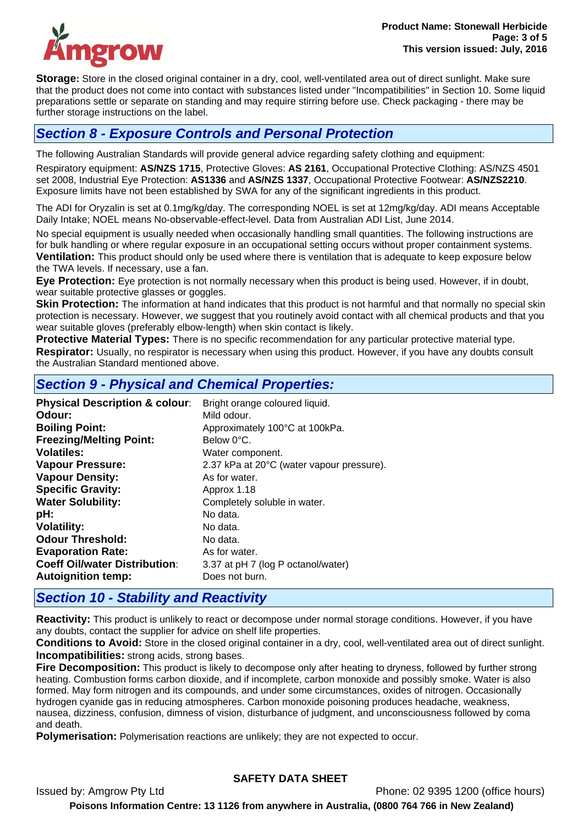

**Storage:** Store in the closed original container in a dry, cool, well-ventilated area out of direct sunlight. Make sure that the product does not come into contact with substances listed under "Incompatibilities" in Section 10. Some liquid preparations settle or separate on standing and may require stirring before use. Check packaging - there may be further storage instructions on the label.

## *Section 8 - Exposure Controls and Personal Protection*

The following Australian Standards will provide general advice regarding safety clothing and equipment: Respiratory equipment: **AS/NZS 1715**, Protective Gloves: **AS 2161**, Occupational Protective Clothing: AS/NZS 4501 set 2008, Industrial Eye Protection: **AS1336** and **AS/NZS 1337**, Occupational Protective Footwear: **AS/NZS2210**. Exposure limits have not been established by SWA for any of the significant ingredients in this product.

The ADI for Oryzalin is set at 0.1mg/kg/day. The corresponding NOEL is set at 12mg/kg/day. ADI means Acceptable Daily Intake; NOEL means No-observable-effect-level. Data from Australian ADI List, June 2014.

No special equipment is usually needed when occasionally handling small quantities. The following instructions are for bulk handling or where regular exposure in an occupational setting occurs without proper containment systems. **Ventilation:** This product should only be used where there is ventilation that is adequate to keep exposure below the TWA levels. If necessary, use a fan.

**Eye Protection:** Eye protection is not normally necessary when this product is being used. However, if in doubt, wear suitable protective glasses or goggles.

**Skin Protection:** The information at hand indicates that this product is not harmful and that normally no special skin protection is necessary. However, we suggest that you routinely avoid contact with all chemical products and that you wear suitable gloves (preferably elbow-length) when skin contact is likely.

**Protective Material Types:** There is no specific recommendation for any particular protective material type. **Respirator:** Usually, no respirator is necessary when using this product. However, if you have any doubts consult the Australian Standard mentioned above.

## *Section 9 - Physical and Chemical Properties:*

| Odour:<br>Mild odour.                                                      |  |
|----------------------------------------------------------------------------|--|
|                                                                            |  |
| <b>Boiling Point:</b><br>Approximately 100°C at 100kPa.                    |  |
| <b>Freezing/Melting Point:</b><br>Below 0°C.                               |  |
| Volatiles:<br>Water component.                                             |  |
| <b>Vapour Pressure:</b><br>2.37 kPa at 20°C (water vapour pressure).       |  |
| <b>Vapour Density:</b><br>As for water.                                    |  |
| <b>Specific Gravity:</b><br>Approx 1.18                                    |  |
| <b>Water Solubility:</b><br>Completely soluble in water.                   |  |
| pH:<br>No data.                                                            |  |
| <b>Volatility:</b><br>No data.                                             |  |
| <b>Odour Threshold:</b><br>No data.                                        |  |
| <b>Evaporation Rate:</b><br>As for water.                                  |  |
| <b>Coeff Oil/water Distribution:</b><br>3.37 at pH 7 (log P octanol/water) |  |
| <b>Autoignition temp:</b><br>Does not burn.                                |  |

## *Section 10 - Stability and Reactivity*

**Reactivity:** This product is unlikely to react or decompose under normal storage conditions. However, if you have any doubts, contact the supplier for advice on shelf life properties.

**Conditions to Avoid:** Store in the closed original container in a dry, cool, well-ventilated area out of direct sunlight. **Incompatibilities:** strong acids, strong bases.

**Fire Decomposition:** This product is likely to decompose only after heating to dryness, followed by further strong heating. Combustion forms carbon dioxide, and if incomplete, carbon monoxide and possibly smoke. Water is also formed. May form nitrogen and its compounds, and under some circumstances, oxides of nitrogen. Occasionally hydrogen cyanide gas in reducing atmospheres. Carbon monoxide poisoning produces headache, weakness, nausea, dizziness, confusion, dimness of vision, disturbance of judgment, and unconsciousness followed by coma and death.

**Polymerisation:** Polymerisation reactions are unlikely; they are not expected to occur.

## **SAFETY DATA SHEET**

Issued by: Amgrow Pty Ltd Phone: 02 9395 1200 (office hours)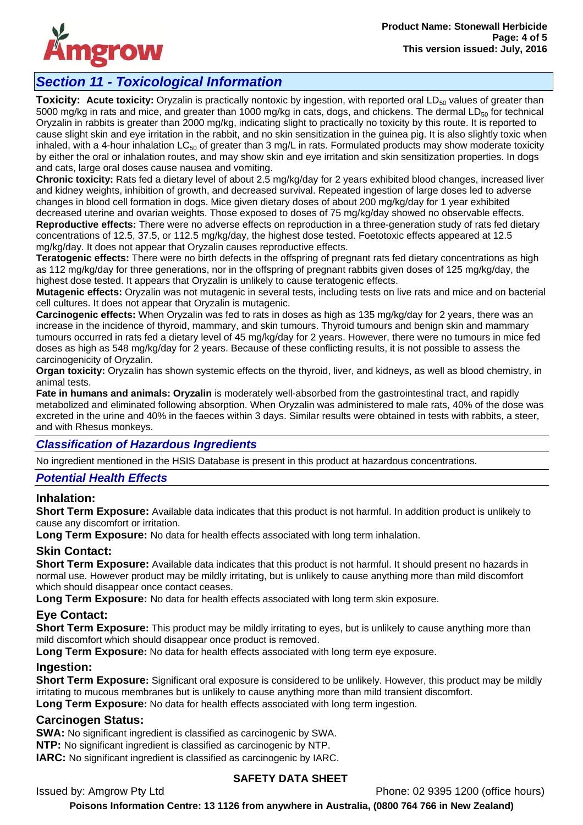

# *Section 11 - Toxicological Information*

**Toxicity: Acute toxicity:** Oryzalin is practically nontoxic by ingestion, with reported oral LD<sub>50</sub> values of greater than 5000 mg/kg in rats and mice, and greater than 1000 mg/kg in cats, dogs, and chickens. The dermal  $LD_{50}$  for technical Oryzalin in rabbits is greater than 2000 mg/kg, indicating slight to practically no toxicity by this route. It is reported to cause slight skin and eye irritation in the rabbit, and no skin sensitization in the guinea pig. It is also slightly toxic when inhaled, with a 4-hour inhalation  $LC_{50}$  of greater than 3 mg/L in rats. Formulated products may show moderate toxicity by either the oral or inhalation routes, and may show skin and eye irritation and skin sensitization properties. In dogs and cats, large oral doses cause nausea and vomiting.

**Chronic toxicity:** Rats fed a dietary level of about 2.5 mg/kg/day for 2 years exhibited blood changes, increased liver and kidney weights, inhibition of growth, and decreased survival. Repeated ingestion of large doses led to adverse changes in blood cell formation in dogs. Mice given dietary doses of about 200 mg/kg/day for 1 year exhibited decreased uterine and ovarian weights. Those exposed to doses of 75 mg/kg/day showed no observable effects. **Reproductive effects:** There were no adverse effects on reproduction in a three-generation study of rats fed dietary concentrations of 12.5, 37.5, or 112.5 mg/kg/day, the highest dose tested. Foetotoxic effects appeared at 12.5 mg/kg/day. It does not appear that Oryzalin causes reproductive effects.

**Teratogenic effects:** There were no birth defects in the offspring of pregnant rats fed dietary concentrations as high as 112 mg/kg/day for three generations, nor in the offspring of pregnant rabbits given doses of 125 mg/kg/day, the highest dose tested. It appears that Oryzalin is unlikely to cause teratogenic effects.

**Mutagenic effects:** Oryzalin was not mutagenic in several tests, including tests on live rats and mice and on bacterial cell cultures. It does not appear that Oryzalin is mutagenic.

**Carcinogenic effects:** When Oryzalin was fed to rats in doses as high as 135 mg/kg/day for 2 years, there was an increase in the incidence of thyroid, mammary, and skin tumours. Thyroid tumours and benign skin and mammary tumours occurred in rats fed a dietary level of 45 mg/kg/day for 2 years. However, there were no tumours in mice fed doses as high as 548 mg/kg/day for 2 years. Because of these conflicting results, it is not possible to assess the carcinogenicity of Oryzalin.

**Organ toxicity:** Oryzalin has shown systemic effects on the thyroid, liver, and kidneys, as well as blood chemistry, in animal tests.

**Fate in humans and animals: Oryzalin** is moderately well-absorbed from the gastrointestinal tract, and rapidly metabolized and eliminated following absorption. When Oryzalin was administered to male rats, 40% of the dose was excreted in the urine and 40% in the faeces within 3 days. Similar results were obtained in tests with rabbits, a steer, and with Rhesus monkeys.

## *Classification of Hazardous Ingredients*

No ingredient mentioned in the HSIS Database is present in this product at hazardous concentrations.

## *Potential Health Effects*

## **Inhalation:**

**Short Term Exposure:** Available data indicates that this product is not harmful. In addition product is unlikely to cause any discomfort or irritation.

**Long Term Exposure:** No data for health effects associated with long term inhalation.

## **Skin Contact:**

**Short Term Exposure:** Available data indicates that this product is not harmful. It should present no hazards in normal use. However product may be mildly irritating, but is unlikely to cause anything more than mild discomfort which should disappear once contact ceases.

**Long Term Exposure:** No data for health effects associated with long term skin exposure.

## **Eye Contact:**

**Short Term Exposure:** This product may be mildly irritating to eyes, but is unlikely to cause anything more than mild discomfort which should disappear once product is removed.

**Long Term Exposure:** No data for health effects associated with long term eye exposure.

## **Ingestion:**

**Short Term Exposure:** Significant oral exposure is considered to be unlikely. However, this product may be mildly irritating to mucous membranes but is unlikely to cause anything more than mild transient discomfort.

**Long Term Exposure:** No data for health effects associated with long term ingestion.

#### **Carcinogen Status:**

**SWA:** No significant ingredient is classified as carcinogenic by SWA.

**NTP:** No significant ingredient is classified as carcinogenic by NTP.

**IARC:** No significant ingredient is classified as carcinogenic by IARC.

## **SAFETY DATA SHEET**

Issued by: Amgrow Pty Ltd **Phone: 02 9395 1200** (office hours)